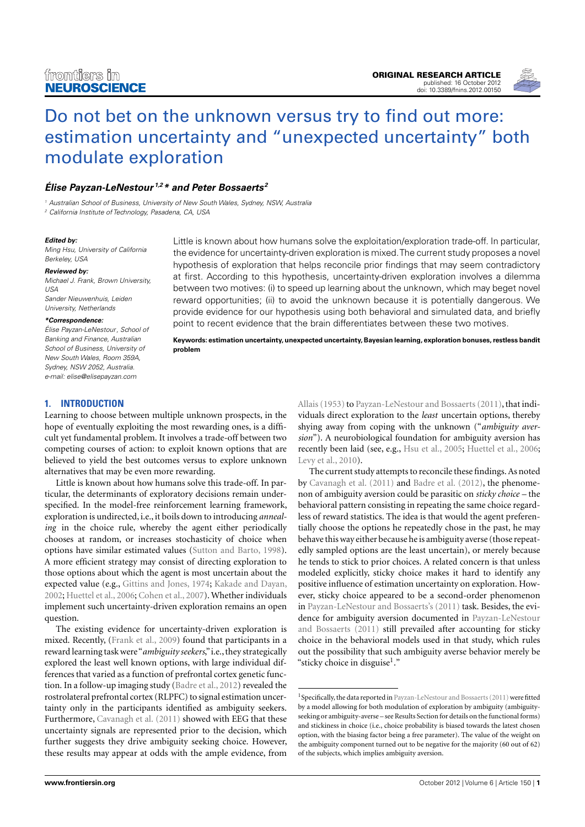

# [Do not bet on the unknown versus try to find out more:](http://www.frontiersin.org/Decision_Neuroscience/10.3389/fnins.2012.00150/abstract) [estimation uncertainty and "unexpected uncertainty" both](http://www.frontiersin.org/Decision_Neuroscience/10.3389/fnins.2012.00150/abstract) [modulate exploration](http://www.frontiersin.org/Decision_Neuroscience/10.3389/fnins.2012.00150/abstract)

# **[Élise Payzan-LeNestour](http://www.frontiersin.org/Community/WhosWhoActivity.aspx?sname=ElisePayzan-LeNestour&UID=53493) 1,2\* and [Peter Bossaerts](http://www.frontiersin.org/Community/WhosWhoActivity.aspx?sname=PeterBossaerts&UID=3343) <sup>2</sup>**

<sup>1</sup> Australian School of Business, University of New South Wales, Sydney, NSW, Australia <sup>2</sup> California Institute of Technology, Pasadena, CA, USA

#### **Edited by:**

Ming Hsu, University of California Berkeley, USA

**Reviewed by:**

Michael J. Frank, Brown University, USA Sander Nieuwenhuis, Leiden University, Netherlands

#### **\*Correspondence:**

Élise Payzan-LeNestour, School of Banking and Finance, Australian School of Business, University of New South Wales, Room 359A, Sydney, NSW 2052, Australia. e-mail: [elise@elisepayzan.com](mailto:elise@elisepayzan.com)

Little is known about how humans solve the exploitation/exploration trade-off. In particular, the evidence for uncertainty-driven exploration is mixed.The current study proposes a novel hypothesis of exploration that helps reconcile prior findings that may seem contradictory at first. According to this hypothesis, uncertainty-driven exploration involves a dilemma between two motives: (i) to speed up learning about the unknown, which may beget novel reward opportunities; (ii) to avoid the unknown because it is potentially dangerous. We provide evidence for our hypothesis using both behavioral and simulated data, and briefly point to recent evidence that the brain differentiates between these two motives.

**Keywords: estimation uncertainty, unexpected uncertainty, Bayesian learning, exploration bonuses, restless bandit problem**

## **1. INTRODUCTION**

Learning to choose between multiple unknown prospects, in the hope of eventually exploiting the most rewarding ones, is a difficult yet fundamental problem. It involves a trade-off between two competing courses of action: to exploit known options that are believed to yield the best outcomes versus to explore unknown alternatives that may be even more rewarding.

Little is known about how humans solve this trade-off. In particular, the determinants of exploratory decisions remain underspecified. In the model-free reinforcement learning framework, exploration is undirected, i.e., it boils down to introducing *annealing* in the choice rule, whereby the agent either periodically chooses at random, or increases stochasticity of choice when options have similar estimated values [\(Sutton and Barto, 1998\)](#page-5-0). A more efficient strategy may consist of directing exploration to those options about which the agent is most uncertain about the expected value (e.g., [Gittins and Jones, 1974;](#page-5-1) [Kakade and Dayan,](#page-5-2) [2002;](#page-5-2) [Huettel et al., 2006;](#page-5-3) [Cohen et al., 2007\)](#page-5-4). Whether individuals implement such uncertainty-driven exploration remains an open question.

The existing evidence for uncertainty-driven exploration is mixed. Recently, [\(Frank et al., 2009\)](#page-5-5) found that participants in a reward learning task were"*ambiguity seekers*,"i.e., they strategically explored the least well known options, with large individual differences that varied as a function of prefrontal cortex genetic function. In a follow-up imaging study [\(Badre et al., 2012\)](#page-4-0) revealed the rostrolateral prefrontal cortex (RLPFC) to signal estimation uncertainty only in the participants identified as ambiguity seekers. Furthermore, [Cavanagh et al.](#page-4-1) [\(2011\)](#page-4-1) showed with EEG that these uncertainty signals are represented prior to the decision, which further suggests they drive ambiguity seeking choice. However, these results may appear at odds with the ample evidence, from

[Allais](#page-4-2) [\(1953\)](#page-4-2) to [Payzan-LeNestour and Bossaerts](#page-5-6) [\(2011\)](#page-5-6), that individuals direct exploration to the *least* uncertain options, thereby shying away from coping with the unknown ("*ambiguity aversion*"). A neurobiological foundation for ambiguity aversion has recently been laid (see, e.g., [Hsu et al., 2005;](#page-5-7) [Huettel et al., 2006;](#page-5-3) [Levy et al., 2010\)](#page-5-8).

The current study attempts to reconcile these findings. As noted by [Cavanagh et al.](#page-4-1) [\(2011\)](#page-4-1) and [Badre et al.](#page-4-0) [\(2012\)](#page-4-0), the phenomenon of ambiguity aversion could be parasitic on *sticky choice* – the behavioral pattern consisting in repeating the same choice regardless of reward statistics. The idea is that would the agent preferentially choose the options he repeatedly chose in the past, he may behave this way either because he is ambiguity averse (those repeatedly sampled options are the least uncertain), or merely because he tends to stick to prior choices. A related concern is that unless modeled explicitly, sticky choice makes it hard to identify any positive influence of estimation uncertainty on exploration. However, sticky choice appeared to be a second-order phenomenon in [Payzan-LeNestour and Bossaerts's](#page-5-9) [\(2011\)](#page-5-9) task. Besides, the evidence for ambiguity aversion documented in [Payzan-LeNestour](#page-5-6) [and Bossaerts](#page-5-6) [\(2011\)](#page-5-6) still prevailed after accounting for sticky choice in the behavioral models used in that study, which rules out the possibility that such ambiguity averse behavior merely be "sticky choice in disguise<sup>[1](#page-0-0)</sup>."

<span id="page-0-0"></span><sup>&</sup>lt;sup>1</sup> Specifically, the data reported in [Payzan-LeNestour and Bossaerts](#page-5-6) [\(2011\)](#page-5-6) were fitted by a model allowing for both modulation of exploration by ambiguity (ambiguityseeking or ambiguity-averse – see Results Section for details on the functional forms) and stickiness in choice (i.e., choice probability is biased towards the latest chosen option, with the biasing factor being a free parameter). The value of the weight on the ambiguity component turned out to be negative for the majority (60 out of 62) of the subjects, which implies ambiguity aversion.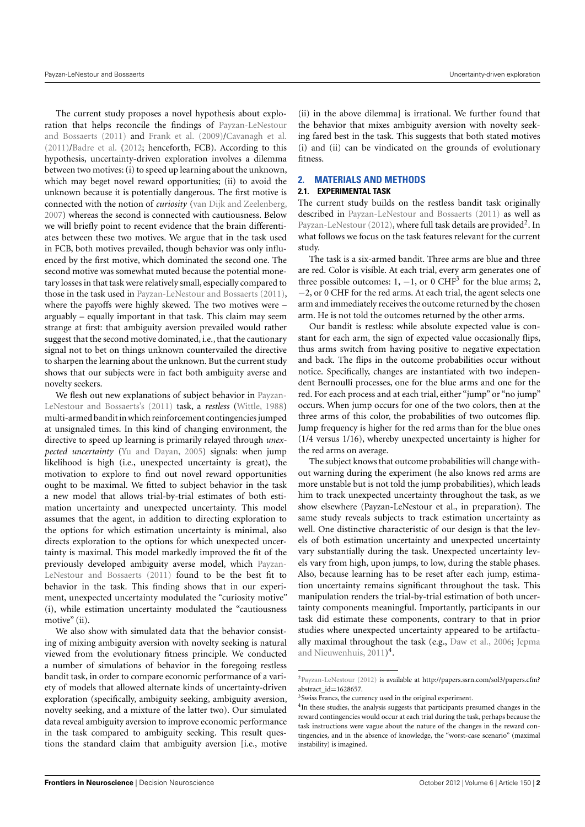The current study proposes a novel hypothesis about exploration that helps reconcile the findings of [Payzan-LeNestour](#page-5-6) [and Bossaerts](#page-5-6) [\(2011\)](#page-5-6) and [Frank et al.](#page-5-5) [\(2009\)](#page-5-5)[/Cavanagh et al.](#page-4-1) [\(2011\)](#page-4-1)[/Badre et al.](#page-4-0) [\(2012;](#page-4-0) henceforth, FCB). According to this hypothesis, uncertainty-driven exploration involves a dilemma between two motives: (i) to speed up learning about the unknown, which may beget novel reward opportunities; (ii) to avoid the unknown because it is potentially dangerous. The first motive is connected with the notion of *curiosity* [\(van Dijk and Zeelenberg,](#page-5-10) [2007\)](#page-5-10) whereas the second is connected with cautiousness. Below we will briefly point to recent evidence that the brain differentiates between these two motives. We argue that in the task used in FCB, both motives prevailed, though behavior was only influenced by the first motive, which dominated the second one. The second motive was somewhat muted because the potential monetary losses in that task were relatively small, especially compared to those in the task used in [Payzan-LeNestour and Bossaerts](#page-5-6) [\(2011\)](#page-5-6), where the payoffs were highly skewed. The two motives were – arguably – equally important in that task. This claim may seem strange at first: that ambiguity aversion prevailed would rather suggest that the second motive dominated, i.e., that the cautionary signal not to bet on things unknown countervailed the directive to sharpen the learning about the unknown. But the current study shows that our subjects were in fact both ambiguity averse and novelty seekers.

We flesh out new explanations of subject behavior in [Payzan-](#page-5-9)[LeNestour and Bossaerts's](#page-5-9) [\(2011\)](#page-5-9) task, a *restless* [\(Wittle,](#page-5-11) [1988\)](#page-5-11) multi-armed bandit in which reinforcement contingencies jumped at unsignaled times. In this kind of changing environment, the directive to speed up learning is primarily relayed through *unexpected uncertainty* [\(Yu and Dayan,](#page-5-12) [2005\)](#page-5-12) signals: when jump likelihood is high (i.e., unexpected uncertainty is great), the motivation to explore to find out novel reward opportunities ought to be maximal. We fitted to subject behavior in the task a new model that allows trial-by-trial estimates of both estimation uncertainty and unexpected uncertainty. This model assumes that the agent, in addition to directing exploration to the options for which estimation uncertainty is minimal, also directs exploration to the options for which unexpected uncertainty is maximal. This model markedly improved the fit of the previously developed ambiguity averse model, which [Payzan-](#page-5-6)[LeNestour and Bossaerts](#page-5-6) [\(2011\)](#page-5-6) found to be the best fit to behavior in the task. This finding shows that in our experiment, unexpected uncertainty modulated the "curiosity motive" (i), while estimation uncertainty modulated the "cautiousness motive" (ii).

We also show with simulated data that the behavior consisting of mixing ambiguity aversion with novelty seeking is natural viewed from the evolutionary fitness principle. We conducted a number of simulations of behavior in the foregoing restless bandit task, in order to compare economic performance of a variety of models that allowed alternate kinds of uncertainty-driven exploration (specifically, ambiguity seeking, ambiguity aversion, novelty seeking, and a mixture of the latter two). Our simulated data reveal ambiguity aversion to improve economic performance in the task compared to ambiguity seeking. This result questions the standard claim that ambiguity aversion [i.e., motive (ii) in the above dilemma] is irrational. We further found that the behavior that mixes ambiguity aversion with novelty seeking fared best in the task. This suggests that both stated motives (i) and (ii) can be vindicated on the grounds of evolutionary fitness.

## **2. MATERIALS AND METHODS**

## **2.1. EXPERIMENTAL TASK**

The current study builds on the restless bandit task originally described in [Payzan-LeNestour and Bossaerts](#page-5-6) [\(2011\)](#page-5-6) as well as [Payzan-LeNestour](#page-5-13) [\(2012\)](#page-5-13), where full task details are provided<sup>[2](#page-1-0)</sup>. In what follows we focus on the task features relevant for the current study.

The task is a six-armed bandit. Three arms are blue and three are red. Color is visible. At each trial, every arm generates one of three possible outcomes: 1,  $-1$ , or 0 CHF<sup>[3](#page-1-1)</sup> for the blue arms; 2, −2, or 0 CHF for the red arms. At each trial, the agent selects one arm and immediately receives the outcome returned by the chosen arm. He is not told the outcomes returned by the other arms.

Our bandit is restless: while absolute expected value is constant for each arm, the sign of expected value occasionally flips, thus arms switch from having positive to negative expectation and back. The flips in the outcome probabilities occur without notice. Specifically, changes are instantiated with two independent Bernoulli processes, one for the blue arms and one for the red. For each process and at each trial, either "jump" or "no jump" occurs. When jump occurs for one of the two colors, then at the three arms of this color, the probabilities of two outcomes flip. Jump frequency is higher for the red arms than for the blue ones (1/4 versus 1/16), whereby unexpected uncertainty is higher for the red arms on average.

The subject knows that outcome probabilities will change without warning during the experiment (he also knows red arms are more unstable but is not told the jump probabilities), which leads him to track unexpected uncertainty throughout the task, as we show elsewhere (Payzan-LeNestour et al., in preparation). The same study reveals subjects to track estimation uncertainty as well. One distinctive characteristic of our design is that the levels of both estimation uncertainty and unexpected uncertainty vary substantially during the task. Unexpected uncertainty levels vary from high, upon jumps, to low, during the stable phases. Also, because learning has to be reset after each jump, estimation uncertainty remains significant throughout the task. This manipulation renders the trial-by-trial estimation of both uncertainty components meaningful. Importantly, participants in our task did estimate these components, contrary to that in prior studies where unexpected uncertainty appeared to be artifactually maximal throughout the task (e.g., [Daw et al.,](#page-5-14) [2006;](#page-5-14) [Jepma](#page-5-15) [and Nieuwenhuis,](#page-5-15) [2011\)](#page-5-15) [4](#page-1-2) .

<span id="page-1-0"></span><sup>2</sup>[Payzan-LeNestour](#page-5-13) [\(2012\)](#page-5-13) is available at [http://papers.ssrn.com/sol3/papers.cfm?](http://papers.ssrn.com/sol3/papers.cfm?abstract_id=1628657) [abstract\\_id](http://papers.ssrn.com/sol3/papers.cfm?abstract_id=1628657)=1628657.

<span id="page-1-1"></span><sup>&</sup>lt;sup>3</sup> Swiss Francs, the currency used in the original experiment.

<span id="page-1-2"></span><sup>&</sup>lt;sup>4</sup>In these studies, the analysis suggests that participants presumed changes in the reward contingencies would occur at each trial during the task, perhaps because the task instructions were vague about the nature of the changes in the reward contingencies, and in the absence of knowledge, the "worst-case scenario" (maximal instability) is imagined.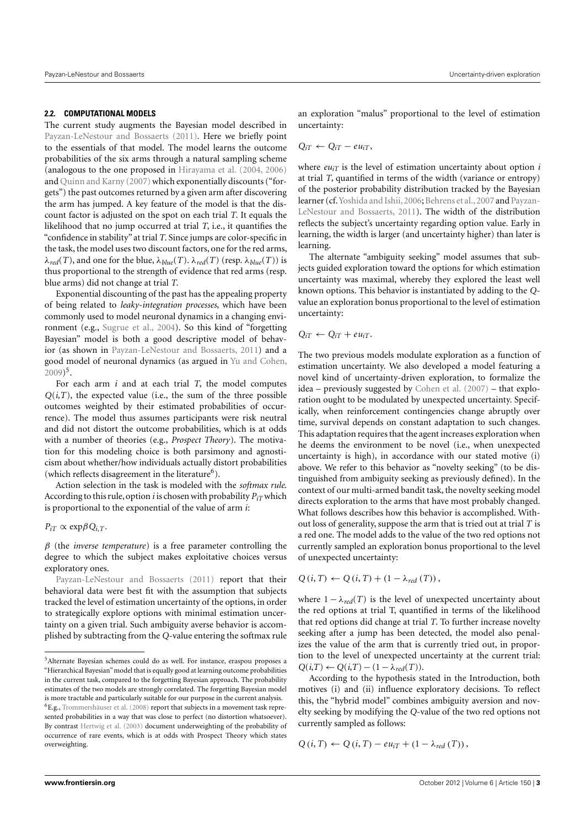#### **2.2. COMPUTATIONAL MODELS**

The current study augments the Bayesian model described in [Payzan-LeNestour and Bossaerts](#page-5-6) [\(2011\)](#page-5-6). Here we briefly point to the essentials of that model. The model learns the outcome probabilities of the six arms through a natural sampling scheme (analogous to the one proposed in [Hirayama et al.](#page-5-16) [\(2004,](#page-5-16) [2006\)](#page-5-17) and [Quinn and Karny](#page-5-18) [\(2007\)](#page-5-18) which exponentially discounts ("forgets") the past outcomes returned by a given arm after discovering the arm has jumped. A key feature of the model is that the discount factor is adjusted on the spot on each trial *T*. It equals the likelihood that no jump occurred at trial *T*, i.e., it quantifies the "confidence in stability" at trial *T*. Since jumps are color-specific in the task, the model uses two discount factors, one for the red arms,  $λ_{red}(T)$ , and one for the blue,  $λ_{blue}(T)$ .  $λ_{red}(T)$  (resp.  $λ_{blue}(T)$ ) is thus proportional to the strength of evidence that red arms (resp. blue arms) did not change at trial *T*.

Exponential discounting of the past has the appealing property of being related to *leaky-integration processes*, which have been commonly used to model neuronal dynamics in a changing environment (e.g., [Sugrue et al.,](#page-5-19) [2004\)](#page-5-19). So this kind of "forgetting Bayesian" model is both a good descriptive model of behavior (as shown in [Payzan-LeNestour and Bossaerts,](#page-5-6) [2011\)](#page-5-6) and a good model of neuronal dynamics (as argued in [Yu and Cohen,](#page-5-20)  $2009)^5$  $2009)^5$  $2009)^5$ .

For each arm *i* and at each trial *T*, the model computes  $Q(i,T)$ , the expected value (i.e., the sum of the three possible outcomes weighted by their estimated probabilities of occurrence). The model thus assumes participants were risk neutral and did not distort the outcome probabilities, which is at odds with a number of theories (e.g., *Prospect Theory*). The motivation for this modeling choice is both parsimony and agnosticism about whether/how individuals actually distort probabilities (which reflects disagreement in the literature<sup>[6](#page-2-1)</sup>).

Action selection in the task is modeled with the *softmax rule*. According to this rule, option *i* is chosen with probability  $P_{iT}$  which is proportional to the exponential of the value of arm *i*:

 $P_{iT} \propto \exp{\beta Q_{i.T}}$ .

 $\beta$  (the *inverse temperature*) is a free parameter controlling the degree to which the subject makes exploitative choices versus exploratory ones.

[Payzan-LeNestour and Bossaerts](#page-5-6) [\(2011\)](#page-5-6) report that their behavioral data were best fit with the assumption that subjects tracked the level of estimation uncertainty of the options, in order to strategically explore options with minimal estimation uncertainty on a given trial. Such ambiguity averse behavior is accomplished by subtracting from the *Q*-value entering the softmax rule an exploration "malus" proportional to the level of estimation uncertainty:

$$
Q_{iT} \leftarrow Q_{iT} - eu_{iT},
$$

where  $eu_{iT}$  is the level of estimation uncertainty about option *i* at trial *T*, quantified in terms of the width (variance or entropy) of the posterior probability distribution tracked by the Bayesian learner (cf. Yoshida and Ishii, 2006; Behrens et al., 2007 and [Payzan-](#page-5-6)[LeNestour and Bossaerts,](#page-5-6) [2011\)](#page-5-6). The width of the distribution reflects the subject's uncertainty regarding option value. Early in learning, the width is larger (and uncertainty higher) than later is learning.

The alternate "ambiguity seeking" model assumes that subjects guided exploration toward the options for which estimation uncertainty was maximal, whereby they explored the least well known options. This behavior is instantiated by adding to the *Q*value an exploration bonus proportional to the level of estimation uncertainty:

 $Q_{iT} \leftarrow Q_{iT} + eu_{iT}$ .

The two previous models modulate exploration as a function of estimation uncertainty. We also developed a model featuring a novel kind of uncertainty-driven exploration, to formalize the idea – previously suggested by [Cohen et al.](#page-5-4) [\(2007\)](#page-5-4) – that exploration ought to be modulated by unexpected uncertainty. Specifically, when reinforcement contingencies change abruptly over time, survival depends on constant adaptation to such changes. This adaptation requires that the agent increases exploration when he deems the environment to be novel (i.e., when unexpected uncertainty is high), in accordance with our stated motive (i) above. We refer to this behavior as "novelty seeking" (to be distinguished from ambiguity seeking as previously defined). In the context of our multi-armed bandit task, the novelty seeking model directs exploration to the arms that have most probably changed. What follows describes how this behavior is accomplished. Without loss of generality, suppose the arm that is tried out at trial *T* is a red one. The model adds to the value of the two red options not currently sampled an exploration bonus proportional to the level of unexpected uncertainty:

$$
Q(i, T) \leftarrow Q(i, T) + (1 - \lambda_{\text{red}}(T)),
$$

where  $1 - \lambda_{red}(T)$  is the level of unexpected uncertainty about the red options at trial T, quantified in terms of the likelihood that red options did change at trial *T*. To further increase novelty seeking after a jump has been detected, the model also penalizes the value of the arm that is currently tried out, in proportion to the level of unexpected uncertainty at the current trial:  $Q(i,T)$  ←  $Q(i,T)$  − (1 −  $\lambda_{\text{red}}(T)$ ).

According to the hypothesis stated in the Introduction, both motives (i) and (ii) influence exploratory decisions. To reflect this, the "hybrid model" combines ambiguity aversion and novelty seeking by modifying the *Q*-value of the two red options not currently sampled as follows:

$$
Q(i, T) \leftarrow Q(i, T) - eu_{iT} + (1 - \lambda_{red}(T)),
$$

<span id="page-2-0"></span><sup>5</sup>Alternate Bayesian schemes could do as well. For instance, eraspou proposes a "Hierarchical Bayesian"model that is equally good at learning outcome probabilities in the current task, compared to the forgetting Bayesian approach. The probability estimates of the two models are strongly correlated. The forgetting Bayesian model is more tractable and particularly suitable for our purpose in the current analysis. <sup>6</sup>E.g., [Trommershäuser et al.](#page-5-21) [\(2008\)](#page-5-21) report that subjects in a movement task repre-

<span id="page-2-1"></span>sented probabilities in a way that was close to perfect (no distortion whatsoever). By contrast [Hertwig et al.](#page-5-22) [\(2003\)](#page-5-22) document underweighting of the probability of occurrence of rare events, which is at odds with Prospect Theory which states overweighting.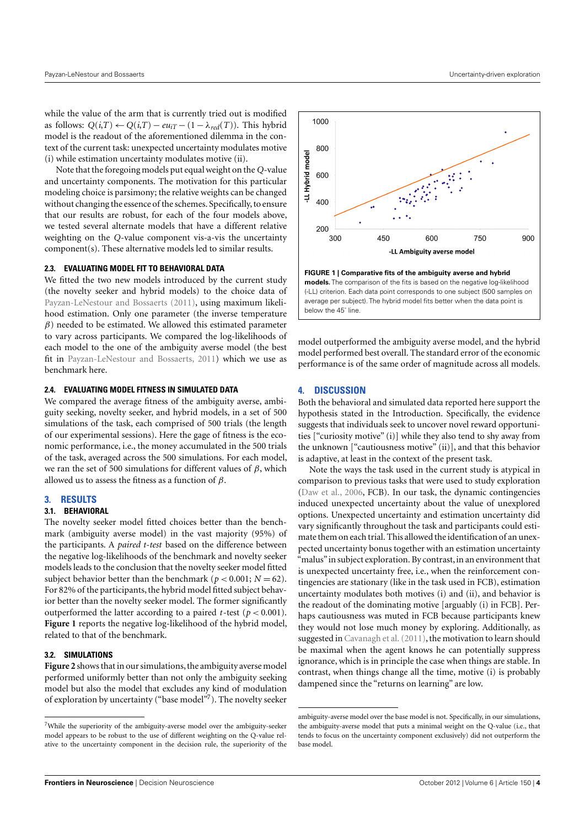while the value of the arm that is currently tried out is modified as follows:  $Q(i,T)$  ←  $Q(i,T)$  −  $eu_{iT}$  − (1 −  $\lambda_{red}(T)$ ). This hybrid model is the readout of the aforementioned dilemma in the context of the current task: unexpected uncertainty modulates motive (i) while estimation uncertainty modulates motive (ii).

Note that the foregoing models put equal weight on the *Q*-value and uncertainty components. The motivation for this particular modeling choice is parsimony; the relative weights can be changed without changing the essence of the schemes. Specifically, to ensure that our results are robust, for each of the four models above, we tested several alternate models that have a different relative weighting on the *Q*-value component vis-a-vis the uncertainty component(s). These alternative models led to similar results.

#### **2.3. EVALUATING MODEL FIT TO BEHAVIORAL DATA**

We fitted the two new models introduced by the current study (the novelty seeker and hybrid models) to the choice data of [Payzan-LeNestour and Bossaerts](#page-5-6) [\(2011\)](#page-5-6), using maximum likelihood estimation. Only one parameter (the inverse temperature  $\beta$ ) needed to be estimated. We allowed this estimated parameter to vary across participants. We compared the log-likelihoods of each model to the one of the ambiguity averse model (the best fit in [Payzan-LeNestour and Bossaerts,](#page-5-6) [2011\)](#page-5-6) which we use as benchmark here.

## **2.4. EVALUATING MODEL FITNESS IN SIMULATED DATA**

We compared the average fitness of the ambiguity averse, ambiguity seeking, novelty seeker, and hybrid models, in a set of 500 simulations of the task, each comprised of 500 trials (the length of our experimental sessions). Here the gage of fitness is the economic performance, i.e., the money accumulated in the 500 trials of the task, averaged across the 500 simulations. For each model, we ran the set of 500 simulations for different values of  $β$ , which allowed us to assess the fitness as a function of  $\beta$ .

#### **3. RESULTS**

#### **3.1. BEHAVIORAL**

The novelty seeker model fitted choices better than the benchmark (ambiguity averse model) in the vast majority (95%) of the participants. A *paired t-test* based on the difference between the negative log-likelihoods of the benchmark and novelty seeker models leads to the conclusion that the novelty seeker model fitted subject behavior better than the benchmark ( $p < 0.001$ ;  $N = 62$ ). For 82% of the participants, the hybrid model fitted subject behavior better than the novelty seeker model. The former significantly outperformed the latter according to a paired *t*-test ( $p < 0.001$ ). **[Figure 1](#page-3-0)** reports the negative log-likelihood of the hybrid model, related to that of the benchmark.

### **3.2. SIMULATIONS**

**[Figure 2](#page-4-4)** shows that in our simulations, the ambiguity averse model performed uniformly better than not only the ambiguity seeking model but also the model that excludes any kind of modulation of exploration by uncertainty ("base model"[7](#page-3-1)). The novelty seeker





<span id="page-3-0"></span>model outperformed the ambiguity averse model, and the hybrid model performed best overall. The standard error of the economic performance is of the same order of magnitude across all models.

### **4. DISCUSSION**

Both the behavioral and simulated data reported here support the hypothesis stated in the Introduction. Specifically, the evidence suggests that individuals seek to uncover novel reward opportunities ["curiosity motive" (i)] while they also tend to shy away from the unknown ["cautiousness motive" (ii)], and that this behavior is adaptive, at least in the context of the present task.

Note the ways the task used in the current study is atypical in comparison to previous tasks that were used to study exploration [\(Daw et al.,](#page-5-14) [2006,](#page-5-14) FCB). In our task, the dynamic contingencies induced unexpected uncertainty about the value of unexplored options. Unexpected uncertainty and estimation uncertainty did vary significantly throughout the task and participants could estimate them on each trial. This allowed the identification of an unexpected uncertainty bonus together with an estimation uncertainty "malus" in subject exploration. By contrast, in an environment that is unexpected uncertainty free, i.e., when the reinforcement contingencies are stationary (like in the task used in FCB), estimation uncertainty modulates both motives (i) and (ii), and behavior is the readout of the dominating motive [arguably (i) in FCB]. Perhaps cautiousness was muted in FCB because participants knew they would not lose much money by exploring. Additionally, as suggested in Cavanagh et al. (2011), the motivation to learn should be maximal when the agent knows he can potentially suppress ignorance, which is in principle the case when things are stable. In contrast, when things change all the time, motive (i) is probably dampened since the "returns on learning" are low.

<span id="page-3-1"></span><sup>7</sup>While the superiority of the ambiguity-averse model over the ambiguity-seeker model appears to be robust to the use of different weighting on the Q-value relative to the uncertainty component in the decision rule, the superiority of the

ambiguity-averse model over the base model is not. Specifically, in our simulations, the ambiguity-averse model that puts a minimal weight on the Q-value (i.e., that tends to focus on the uncertainty component exclusively) did not outperform the base model.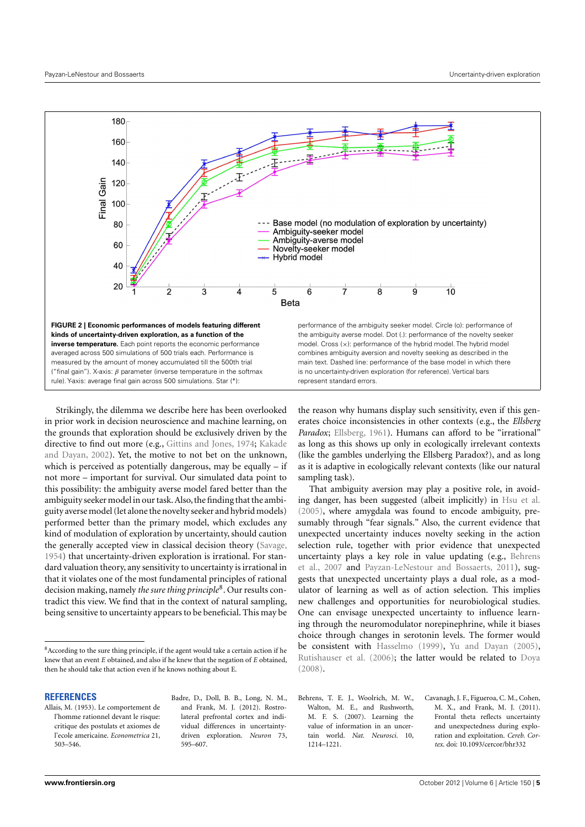

<span id="page-4-4"></span>Strikingly, the dilemma we describe here has been overlooked in prior work in decision neuroscience and machine learning, on the grounds that exploration should be exclusively driven by the directive to find out more (e.g., [Gittins and Jones,](#page-5-1) [1974;](#page-5-1) [Kakade](#page-5-2) [and Dayan,](#page-5-2) [2002\)](#page-5-2). Yet, the motive to not bet on the unknown, which is perceived as potentially dangerous, may be equally  $-$  if not more – important for survival. Our simulated data point to this possibility: the ambiguity averse model fared better than the ambiguity seeker model in our task.Also, the finding that the ambiguity averse model (let alone the novelty seeker and hybrid models) performed better than the primary model, which excludes any kind of modulation of exploration by uncertainty, should caution the generally accepted view in classical decision theory [\(Savage,](#page-5-24) [1954\)](#page-5-24) that uncertainty-driven exploration is irrational. For standard valuation theory, any sensitivity to uncertainty is irrational in that it violates one of the most fundamental principles of rational decision making, namely *the sure thing principle*[8](#page-4-5) . Our results contradict this view. We find that in the context of natural sampling, being sensitive to uncertainty appears to be beneficial. This may be

#### **REFERENCES**

- <span id="page-4-2"></span>Allais, M. (1953). Le comportement de l'homme rationnel devant le risque: critique des postulats et axiomes de l'ecole americaine. *Econometrica* 21, 503–546.
- <span id="page-4-0"></span>Badre, D., Doll, B. B., Long, N. M., and Frank, M. J. (2012). Rostrolateral prefrontal cortex and individual differences in uncertaintydriven exploration. *Neuron* 73, 595–607.

the reason why humans display such sensitivity, even if this generates choice inconsistencies in other contexts (e.g., the *Ellsberg* Paradox; [Ellsberg,](#page-5-25) [1961\)](#page-5-25). Humans can afford to be "irrational" as long as this shows up only in ecologically irrelevant contexts (like the gambles underlying the Ellsberg Paradox?), and as long as it is adaptive in ecologically relevant contexts (like our natural sampling task).

That ambiguity aversion may play a positive role, in avoiding danger, has been suggested (albeit implicitly) in [Hsu et al.](#page-5-7) [\(2005\)](#page-5-7), where amygdala was found to encode ambiguity, presumably through "fear signals." Also, the current evidence that unexpected uncertainty induces novelty seeking in the action selection rule, together with prior evidence that unexpected uncertainty plays a key role in value updating (e.g., [Behrens](#page-4-3) [et al.,](#page-4-3) [2007](#page-4-3) and [Payzan-LeNestour and Bossaerts,](#page-5-6) [2011\)](#page-5-6), suggests that unexpected uncertainty plays a dual role, as a modulator of learning as well as of action selection. This implies new challenges and opportunities for neurobiological studies. One can envisage unexpected uncertainty to influence learning through the neuromodulator norepinephrine, while it biases choice through changes in serotonin levels. The former would be consistent with [Hasselmo](#page-5-26) [\(1999\)](#page-5-26), [Yu and Dayan](#page-5-12) [\(2005\)](#page-5-12), [Rutishauser et al.](#page-5-27) [\(2006\)](#page-5-27); the latter would be related to [Doya](#page-5-28) [\(2008\)](#page-5-28).

<span id="page-4-3"></span>Behrens, T. E. J., Woolrich, M. W., Walton, M. E., and Rushworth, M. F. S. (2007). Learning the value of information in an uncertain world. *Nat. Neurosci.* 10, 1214–1221.

<span id="page-4-1"></span>Cavanagh, J. F., Figueroa, C. M., Cohen, M. X., and Frank, M. J. (2011). Frontal theta reflects uncertainty and unexpectedness during exploration and exploitation. *Cereb. Cortex*. doi: 10.1093/cercor/bhr332

<span id="page-4-5"></span> $^8$  According to the sure thing principle, if the agent would take a certain action if he knew that an event *E* obtained, and also if he knew that the negation of *E* obtained, then he should take that action even if he knows nothing about E.